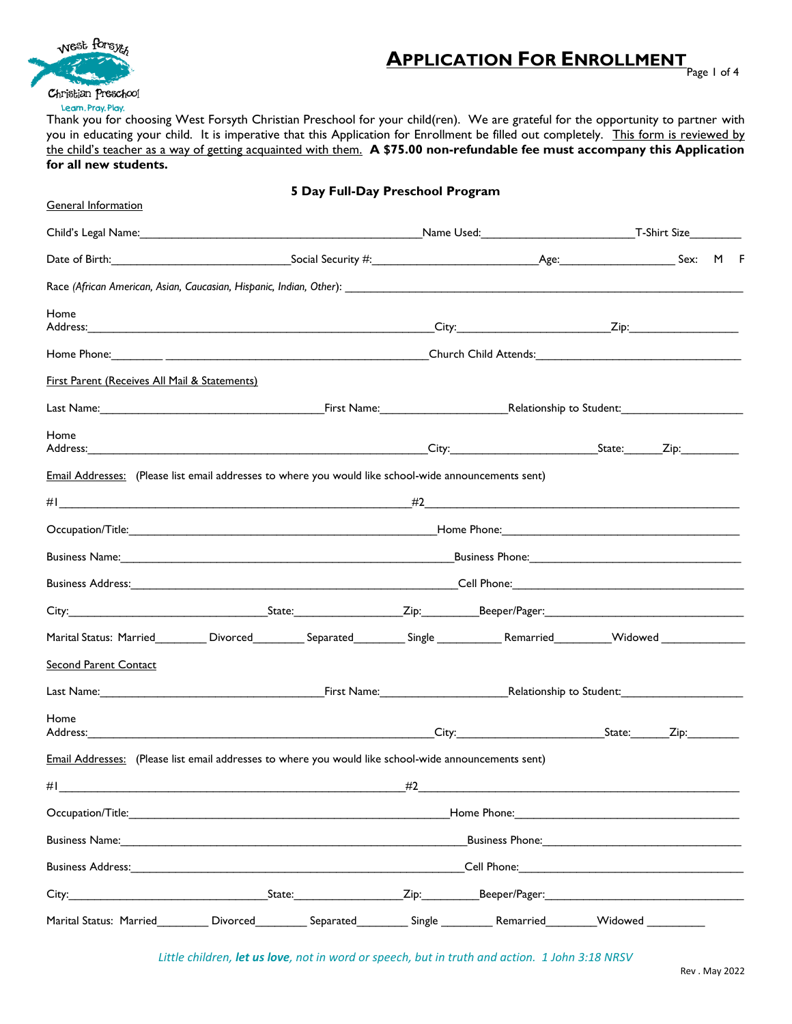

## **APPLICATION FOR ENROLLMENT**

Page 1 of 4

Thank you for choosing West Forsyth Christian Preschool for your child(ren). We are grateful for the opportunity to partner with you in educating your child. It is imperative that this Application for Enrollment be filled out completely. This form is reviewed by the child's teacher as a way of getting acquainted with them. **A \$75.00 non-refundable fee must accompany this Application for all new students.**

| <b>General Information</b>                                                                                                                                                                                                             |                                                                                                                                        | 5 Day Full-Day Preschool Program                                                                                                                                                                                                     |             |               |                                                                                           |          |  |
|----------------------------------------------------------------------------------------------------------------------------------------------------------------------------------------------------------------------------------------|----------------------------------------------------------------------------------------------------------------------------------------|--------------------------------------------------------------------------------------------------------------------------------------------------------------------------------------------------------------------------------------|-------------|---------------|-------------------------------------------------------------------------------------------|----------|--|
| Child's Legal Name: The Manner Child's Legal Name: The Manner Child's Legal Name: The Manner Child's Legal Name:                                                                                                                       |                                                                                                                                        |                                                                                                                                                                                                                                      |             |               |                                                                                           |          |  |
|                                                                                                                                                                                                                                        |                                                                                                                                        |                                                                                                                                                                                                                                      |             |               |                                                                                           | Sex: M F |  |
|                                                                                                                                                                                                                                        |                                                                                                                                        |                                                                                                                                                                                                                                      |             |               |                                                                                           |          |  |
| Home                                                                                                                                                                                                                                   |                                                                                                                                        |                                                                                                                                                                                                                                      |             |               |                                                                                           |          |  |
|                                                                                                                                                                                                                                        |                                                                                                                                        |                                                                                                                                                                                                                                      |             |               |                                                                                           |          |  |
|                                                                                                                                                                                                                                        |                                                                                                                                        |                                                                                                                                                                                                                                      |             |               |                                                                                           |          |  |
| <b>First Parent (Receives All Mail &amp; Statements)</b>                                                                                                                                                                               |                                                                                                                                        |                                                                                                                                                                                                                                      |             |               |                                                                                           |          |  |
| Last Name: Name: Name: Name: Relationship to Student: Name: Name: Relationship to Student:                                                                                                                                             |                                                                                                                                        |                                                                                                                                                                                                                                      |             |               |                                                                                           |          |  |
| Home<br>Address: Zip: Zip: 2014 City: City: City: 2014 State: Zip: 2014 State: 2014 State: 2014 State: 2014 State: 2014 State: 2014 State: 2014 State: 2014 State: 2014 State: 2014 State: 2014 State: 2014 State: 2014 State: 2014 St |                                                                                                                                        |                                                                                                                                                                                                                                      |             |               |                                                                                           |          |  |
| Email Addresses: (Please list email addresses to where you would like school-wide announcements sent)                                                                                                                                  |                                                                                                                                        |                                                                                                                                                                                                                                      |             |               |                                                                                           |          |  |
|                                                                                                                                                                                                                                        |                                                                                                                                        |                                                                                                                                                                                                                                      |             |               |                                                                                           |          |  |
|                                                                                                                                                                                                                                        |                                                                                                                                        |                                                                                                                                                                                                                                      |             |               |                                                                                           |          |  |
|                                                                                                                                                                                                                                        |                                                                                                                                        | Business Name: <u>Communications of the Communications of the Communications of Business Phone:</u>                                                                                                                                  |             |               |                                                                                           |          |  |
|                                                                                                                                                                                                                                        |                                                                                                                                        | Business Address: <u>Communications and Cell Phone: Cell Phone: Cell Phone: Cell Phone: Cell Phone: Cell Phone: Cell Phone: Cell Phone: Cell Phone: Cell Phone: Cell Phone: Cell Phone: Cell Phone: Cell Phone: Cell Phone: Cell</u> |             |               |                                                                                           |          |  |
|                                                                                                                                                                                                                                        |                                                                                                                                        |                                                                                                                                                                                                                                      |             |               |                                                                                           |          |  |
|                                                                                                                                                                                                                                        | Marital Status: Married__________Divorced___________Separated__________Single _____________Remarried__________Widowed ________________ |                                                                                                                                                                                                                                      |             |               |                                                                                           |          |  |
| <b>Second Parent Contact</b>                                                                                                                                                                                                           |                                                                                                                                        |                                                                                                                                                                                                                                      |             |               |                                                                                           |          |  |
|                                                                                                                                                                                                                                        |                                                                                                                                        |                                                                                                                                                                                                                                      |             |               |                                                                                           |          |  |
| Home                                                                                                                                                                                                                                   |                                                                                                                                        |                                                                                                                                                                                                                                      |             |               |                                                                                           |          |  |
| Email Addresses: (Please list email addresses to where you would like school-wide announcements sent)                                                                                                                                  |                                                                                                                                        |                                                                                                                                                                                                                                      |             |               |                                                                                           |          |  |
| #I                                                                                                                                                                                                                                     | <u> 1989 - Johann Stein, skriuwer yn it stiet fan it ferstjer fan it ferstjer fan it ferstjer fan it ferstjer fan </u>                 |                                                                                                                                                                                                                                      | #2          |               | the control of the control of the control of the control of the control of the control of |          |  |
|                                                                                                                                                                                                                                        |                                                                                                                                        |                                                                                                                                                                                                                                      |             |               |                                                                                           |          |  |
|                                                                                                                                                                                                                                        |                                                                                                                                        | <b>Susiness Name:</b> The Second Second Second Second Second Second Second Second Second Second Second Second Second Second Second Second Second Second Second Second Second Second Second Second Second Second Second Second Secon  |             |               |                                                                                           |          |  |
| <b>Business Address: Example 2018</b>                                                                                                                                                                                                  |                                                                                                                                        |                                                                                                                                                                                                                                      |             |               |                                                                                           |          |  |
|                                                                                                                                                                                                                                        |                                                                                                                                        | State:                                                                                                                                                                                                                               | Zip:        | Beeper/Pager: |                                                                                           |          |  |
| Marital Status: Married                                                                                                                                                                                                                | Divorced                                                                                                                               | Separated                                                                                                                                                                                                                            | Single $\_$ | Remarried     | Widowed                                                                                   |          |  |

*Little children, let us love, not in word or speech, but in truth and action. 1 John 3:18 NRSV*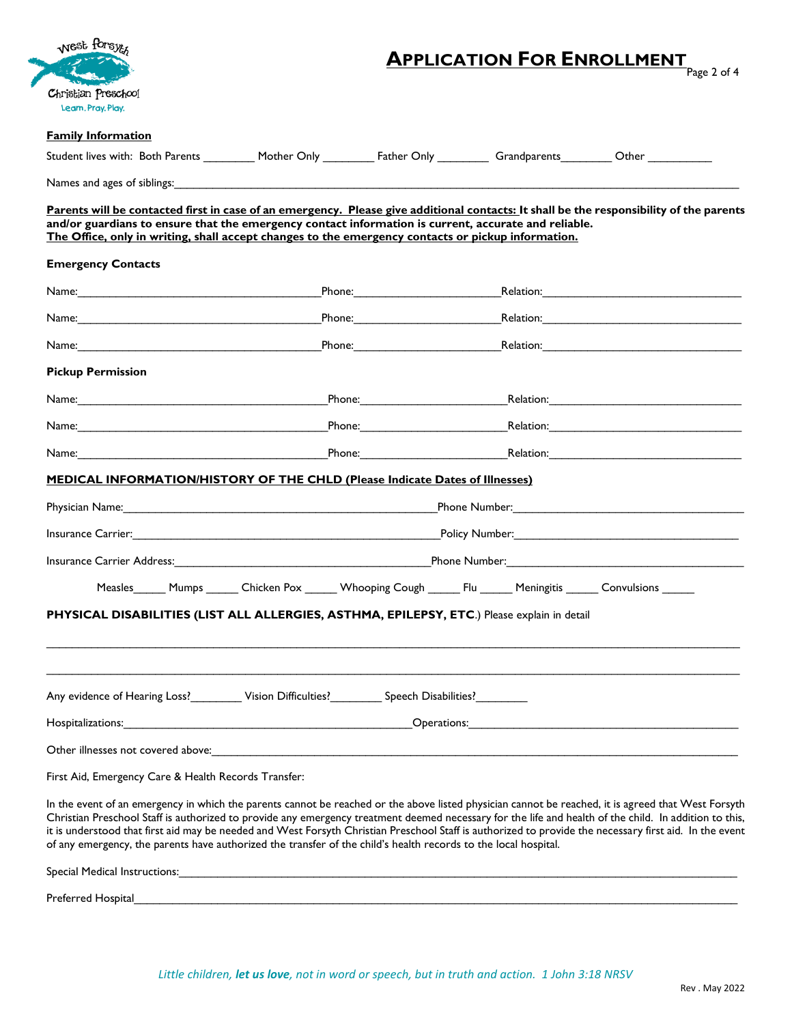| West forsyt                                          |                                                                                                                                                                                                                                                                                                                                                                                                                                                                                                                                                                                             |  |  | <b>APPLICATION FOR ENROLLMENT</b>                                                                              |  |  |
|------------------------------------------------------|---------------------------------------------------------------------------------------------------------------------------------------------------------------------------------------------------------------------------------------------------------------------------------------------------------------------------------------------------------------------------------------------------------------------------------------------------------------------------------------------------------------------------------------------------------------------------------------------|--|--|----------------------------------------------------------------------------------------------------------------|--|--|
|                                                      |                                                                                                                                                                                                                                                                                                                                                                                                                                                                                                                                                                                             |  |  | Page 2 of 4                                                                                                    |  |  |
| Christian Preschool<br>Learn, Pray, Play,            |                                                                                                                                                                                                                                                                                                                                                                                                                                                                                                                                                                                             |  |  |                                                                                                                |  |  |
| <b>Family Information</b>                            |                                                                                                                                                                                                                                                                                                                                                                                                                                                                                                                                                                                             |  |  |                                                                                                                |  |  |
|                                                      | Student lives with: Both Parents __________ Mother Only __________ Father Only _________ Grandparents_________ Other __________                                                                                                                                                                                                                                                                                                                                                                                                                                                             |  |  |                                                                                                                |  |  |
| Names and ages of siblings:                          | and the control of the control of the control of the control of the control of the control of the control of the                                                                                                                                                                                                                                                                                                                                                                                                                                                                            |  |  |                                                                                                                |  |  |
|                                                      | Parents will be contacted first in case of an emergency. Please give additional contacts: It shall be the responsibility of the parents<br>and/or guardians to ensure that the emergency contact information is current, accurate and reliable.<br>The Office, only in writing, shall accept changes to the emergency contacts or pickup information.                                                                                                                                                                                                                                       |  |  |                                                                                                                |  |  |
| <b>Emergency Contacts</b>                            |                                                                                                                                                                                                                                                                                                                                                                                                                                                                                                                                                                                             |  |  |                                                                                                                |  |  |
|                                                      |                                                                                                                                                                                                                                                                                                                                                                                                                                                                                                                                                                                             |  |  |                                                                                                                |  |  |
|                                                      |                                                                                                                                                                                                                                                                                                                                                                                                                                                                                                                                                                                             |  |  | Relation: 2008                                                                                                 |  |  |
|                                                      |                                                                                                                                                                                                                                                                                                                                                                                                                                                                                                                                                                                             |  |  |                                                                                                                |  |  |
| <b>Pickup Permission</b>                             |                                                                                                                                                                                                                                                                                                                                                                                                                                                                                                                                                                                             |  |  |                                                                                                                |  |  |
|                                                      |                                                                                                                                                                                                                                                                                                                                                                                                                                                                                                                                                                                             |  |  |                                                                                                                |  |  |
|                                                      |                                                                                                                                                                                                                                                                                                                                                                                                                                                                                                                                                                                             |  |  | Phone: 2008. [2018] Relation: 2018. [2018] Relation: 2018. [2018] Relation: 2018. [2018] Relation: 2018. [2018 |  |  |
|                                                      |                                                                                                                                                                                                                                                                                                                                                                                                                                                                                                                                                                                             |  |  |                                                                                                                |  |  |
|                                                      | <b>MEDICAL INFORMATION/HISTORY OF THE CHLD (Please Indicate Dates of Illnesses)</b>                                                                                                                                                                                                                                                                                                                                                                                                                                                                                                         |  |  |                                                                                                                |  |  |
|                                                      |                                                                                                                                                                                                                                                                                                                                                                                                                                                                                                                                                                                             |  |  |                                                                                                                |  |  |
|                                                      |                                                                                                                                                                                                                                                                                                                                                                                                                                                                                                                                                                                             |  |  |                                                                                                                |  |  |
|                                                      | Insurance Carrier Address: <u>Carrier Address: Carrier Carrier Carrier Carrier Carrier Carrier Address:</u>                                                                                                                                                                                                                                                                                                                                                                                                                                                                                 |  |  |                                                                                                                |  |  |
|                                                      | Measles Mumps Chicken Pox Whooping Cough Flu Meningitis Convulsions                                                                                                                                                                                                                                                                                                                                                                                                                                                                                                                         |  |  |                                                                                                                |  |  |
|                                                      | PHYSICAL DISABILITIES (LIST ALL ALLERGIES, ASTHMA, EPILEPSY, ETC.) Please explain in detail                                                                                                                                                                                                                                                                                                                                                                                                                                                                                                 |  |  |                                                                                                                |  |  |
|                                                      |                                                                                                                                                                                                                                                                                                                                                                                                                                                                                                                                                                                             |  |  |                                                                                                                |  |  |
|                                                      |                                                                                                                                                                                                                                                                                                                                                                                                                                                                                                                                                                                             |  |  |                                                                                                                |  |  |
|                                                      | Any evidence of Hearing Loss?__________Vision Difficulties?____________Speech Disabilities?______________                                                                                                                                                                                                                                                                                                                                                                                                                                                                                   |  |  |                                                                                                                |  |  |
|                                                      | <b>Proprietalizations: Contract Contract Contract Contract Contract Contract Contract Contract Contract Contract Contract Contract Contract Contract Contract Contract Contract Contract Contract Contract Contract Contract C</b>                                                                                                                                                                                                                                                                                                                                                          |  |  |                                                                                                                |  |  |
|                                                      |                                                                                                                                                                                                                                                                                                                                                                                                                                                                                                                                                                                             |  |  |                                                                                                                |  |  |
| First Aid, Emergency Care & Health Records Transfer: |                                                                                                                                                                                                                                                                                                                                                                                                                                                                                                                                                                                             |  |  |                                                                                                                |  |  |
|                                                      | In the event of an emergency in which the parents cannot be reached or the above listed physician cannot be reached, it is agreed that West Forsyth<br>Christian Preschool Staff is authorized to provide any emergency treatment deemed necessary for the life and health of the child. In addition to this,<br>it is understood that first aid may be needed and West Forsyth Christian Preschool Staff is authorized to provide the necessary first aid. In the event<br>of any emergency, the parents have authorized the transfer of the child's health records to the local hospital. |  |  |                                                                                                                |  |  |
|                                                      |                                                                                                                                                                                                                                                                                                                                                                                                                                                                                                                                                                                             |  |  |                                                                                                                |  |  |

Preferred Hospital\_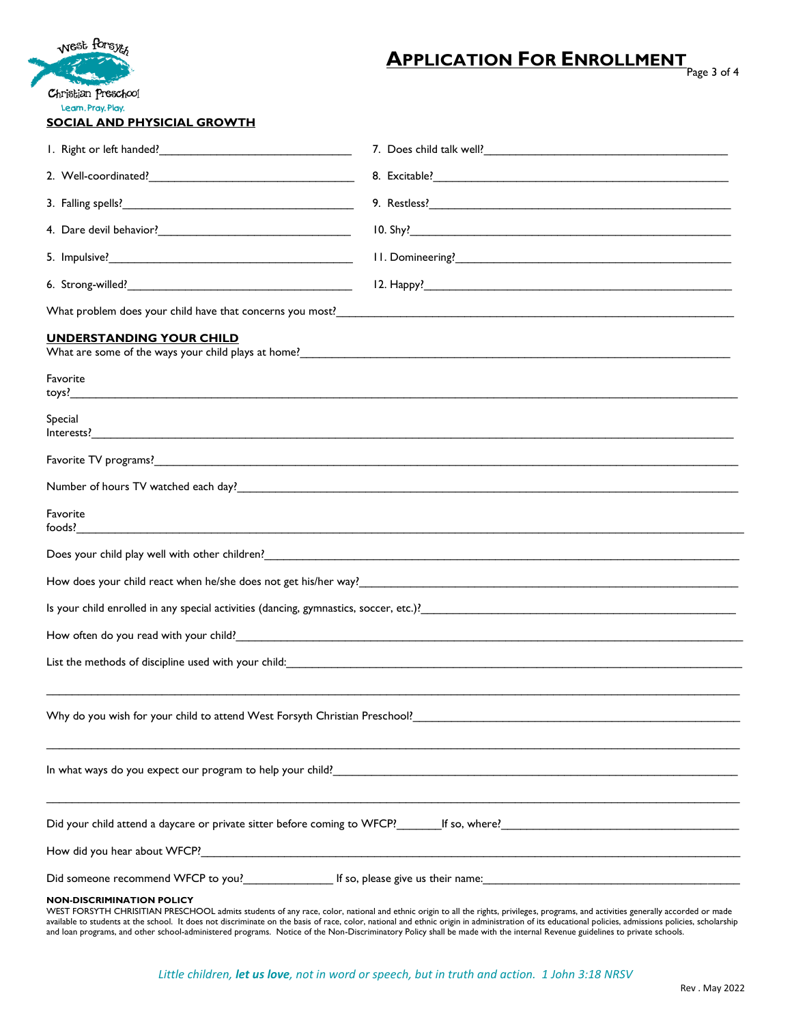| West forsyte                                                                                                                                                                                                                        | <b>APPLICATION FOR ENROLLMENT</b><br>Page 3 of 4                                                                                                                                                                               |  |  |  |  |
|-------------------------------------------------------------------------------------------------------------------------------------------------------------------------------------------------------------------------------------|--------------------------------------------------------------------------------------------------------------------------------------------------------------------------------------------------------------------------------|--|--|--|--|
| Christian Preschool<br>Learn, Pray, Play,<br><b>SOCIAL AND PHYSICIAL GROWTH</b>                                                                                                                                                     |                                                                                                                                                                                                                                |  |  |  |  |
|                                                                                                                                                                                                                                     |                                                                                                                                                                                                                                |  |  |  |  |
|                                                                                                                                                                                                                                     |                                                                                                                                                                                                                                |  |  |  |  |
|                                                                                                                                                                                                                                     |                                                                                                                                                                                                                                |  |  |  |  |
|                                                                                                                                                                                                                                     |                                                                                                                                                                                                                                |  |  |  |  |
|                                                                                                                                                                                                                                     |                                                                                                                                                                                                                                |  |  |  |  |
|                                                                                                                                                                                                                                     |                                                                                                                                                                                                                                |  |  |  |  |
|                                                                                                                                                                                                                                     |                                                                                                                                                                                                                                |  |  |  |  |
| <b>UNDERSTANDING YOUR CHILD</b>                                                                                                                                                                                                     | What are some of the ways your child plays at home?<br><u> University and the some product and the some product</u> and the way is a set of the set of the set of the set o                                                    |  |  |  |  |
| Favorite                                                                                                                                                                                                                            |                                                                                                                                                                                                                                |  |  |  |  |
| Special                                                                                                                                                                                                                             |                                                                                                                                                                                                                                |  |  |  |  |
|                                                                                                                                                                                                                                     |                                                                                                                                                                                                                                |  |  |  |  |
|                                                                                                                                                                                                                                     |                                                                                                                                                                                                                                |  |  |  |  |
| Favorite                                                                                                                                                                                                                            |                                                                                                                                                                                                                                |  |  |  |  |
| Does your child play well with other children? <b>Constitution</b> and the construction of the construction of the construction of the construction of the construction of the construction of the construction of the construction |                                                                                                                                                                                                                                |  |  |  |  |
|                                                                                                                                                                                                                                     |                                                                                                                                                                                                                                |  |  |  |  |
|                                                                                                                                                                                                                                     |                                                                                                                                                                                                                                |  |  |  |  |
| How often do you read with your child? Notice that the contract of the contract of the contract of the contract of the contract of the contract of the contract of the contract of the contract of the contract of the contrac      |                                                                                                                                                                                                                                |  |  |  |  |
| List the methods of discipline used with your child: Marian Marian Marian Marian Marian Marian Marian Marian M                                                                                                                      |                                                                                                                                                                                                                                |  |  |  |  |
| Why do you wish for your child to attend West Forsyth Christian Preschool? Christian and the content of the content of the content of the content of the content of the content of the content of the content of the content o      |                                                                                                                                                                                                                                |  |  |  |  |
|                                                                                                                                                                                                                                     |                                                                                                                                                                                                                                |  |  |  |  |
|                                                                                                                                                                                                                                     | Did your child attend a daycare or private sitter before coming to WFCP? For the solution of solution of the strain of the strain of the strain of the strain of the strain of the strain of the strain of the strain of the s |  |  |  |  |

How did you hear about WFCP?\_

Did someone recommend WFCP to you?\_\_\_\_\_\_\_\_\_\_\_\_\_\_ If so, please give us their name:\_\_\_\_\_\_\_\_\_\_\_\_\_\_\_\_\_\_\_\_\_\_\_\_\_\_\_\_\_\_\_\_\_\_\_\_\_\_\_\_

## **NON-DISCRIMINATION POLICY**

WEST FORSYTH CHRISITIAN PRESCHOOL admits students of any race, color, national and ethnic origin to all the rights, privileges, programs, and activities generally accorded or made available to students at the school. It does not discriminate on the basis of race, color, national and ethnic origin in administration of its educational policies, admissions policies, scholarship and loan programs, and other school-administered programs. Notice of the Non-Discriminatory Policy shall be made with the internal Revenue guidelines to private schools.